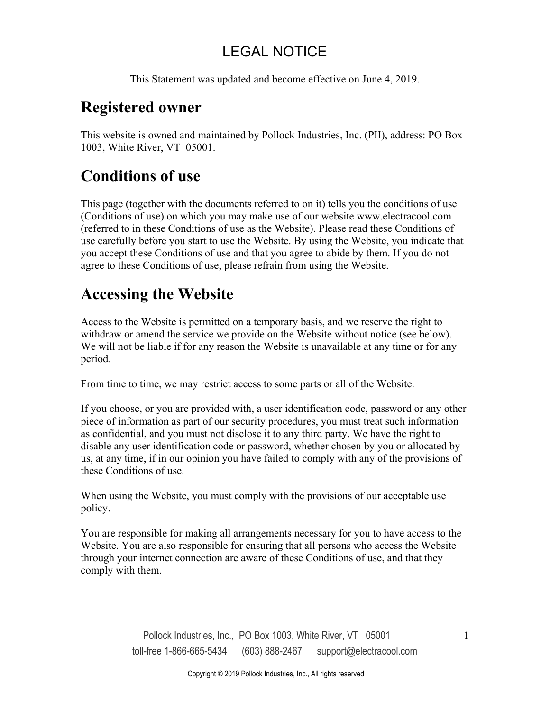This Statement was updated and become effective on June 4, 2019.

### **Registered owner**

This website is owned and maintained by Pollock Industries, Inc. (PII), address: PO Box 1003, White River, VT 05001.

# **Conditions of use**

This page (together with the documents referred to on it) tells you the conditions of use (Conditions of use) on which you may make use of our website www.electracool.com (referred to in these Conditions of use as the Website). Please read these Conditions of use carefully before you start to use the Website. By using the Website, you indicate that you accept these Conditions of use and that you agree to abide by them. If you do not agree to these Conditions of use, please refrain from using the Website.

# **Accessing the Website**

Access to the Website is permitted on a temporary basis, and we reserve the right to withdraw or amend the service we provide on the Website without notice (see below). We will not be liable if for any reason the Website is unavailable at any time or for any period.

From time to time, we may restrict access to some parts or all of the Website.

If you choose, or you are provided with, a user identification code, password or any other piece of information as part of our security procedures, you must treat such information as confidential, and you must not disclose it to any third party. We have the right to disable any user identification code or password, whether chosen by you or allocated by us, at any time, if in our opinion you have failed to comply with any of the provisions of these Conditions of use.

When using the Website, you must comply with the provisions of our acceptable use policy.

You are responsible for making all arrangements necessary for you to have access to the Website. You are also responsible for ensuring that all persons who access the Website through your internet connection are aware of these Conditions of use, and that they comply with them.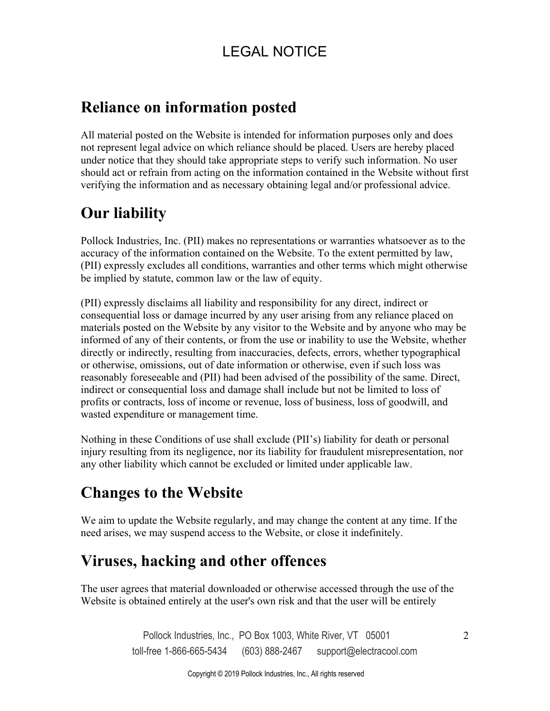#### **Reliance on information posted**

All material posted on the Website is intended for information purposes only and does not represent legal advice on which reliance should be placed. Users are hereby placed under notice that they should take appropriate steps to verify such information. No user should act or refrain from acting on the information contained in the Website without first verifying the information and as necessary obtaining legal and/or professional advice.

# **Our liability**

Pollock Industries, Inc. (PII) makes no representations or warranties whatsoever as to the accuracy of the information contained on the Website. To the extent permitted by law, (PII) expressly excludes all conditions, warranties and other terms which might otherwise be implied by statute, common law or the law of equity.

(PII) expressly disclaims all liability and responsibility for any direct, indirect or consequential loss or damage incurred by any user arising from any reliance placed on materials posted on the Website by any visitor to the Website and by anyone who may be informed of any of their contents, or from the use or inability to use the Website, whether directly or indirectly, resulting from inaccuracies, defects, errors, whether typographical or otherwise, omissions, out of date information or otherwise, even if such loss was reasonably foreseeable and (PII) had been advised of the possibility of the same. Direct, indirect or consequential loss and damage shall include but not be limited to loss of profits or contracts, loss of income or revenue, loss of business, loss of goodwill, and wasted expenditure or management time.

Nothing in these Conditions of use shall exclude (PII's) liability for death or personal injury resulting from its negligence, nor its liability for fraudulent misrepresentation, nor any other liability which cannot be excluded or limited under applicable law.

#### **Changes to the Website**

We aim to update the Website regularly, and may change the content at any time. If the need arises, we may suspend access to the Website, or close it indefinitely.

### **Viruses, hacking and other offences**

The user agrees that material downloaded or otherwise accessed through the use of the Website is obtained entirely at the user's own risk and that the user will be entirely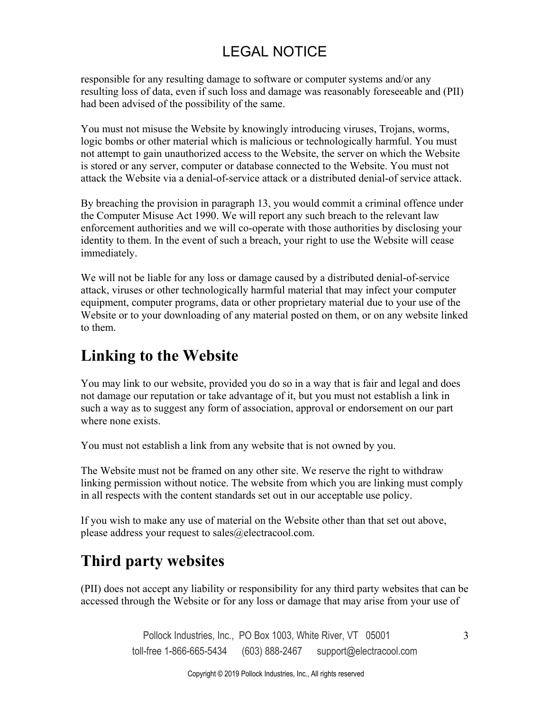responsible for any resulting damage to software or computer systems and/or any resulting loss of data, even if such loss and damage was reasonably foreseeable and (PII) had been advised of the possibility of the same.

You must not misuse the Website by knowingly introducing viruses, Trojans, worms, logic bombs or other material which is malicious or technologically harmful. You must not attempt to gain unauthorized access to the Website, the server on which the Website is stored or any server, computer or database connected to the Website. You must not attack the Website via a denial-of-service attack or a distributed denial-of service attack.

By breaching the provision in paragraph 13, you would commit a criminal offence under the Computer Misuse Act 1990. We will report any such breach to the relevant law enforcement authorities and we will co-operate with those authorities by disclosing your identity to them. In the event of such a breach, your right to use the Website will cease immediately.

We will not be liable for any loss or damage caused by a distributed denial-of-service attack, viruses or other technologically harmful material that may infect your computer equipment, computer programs, data or other proprietary material due to your use of the Website or to your downloading of any material posted on them, or on any website linked to them.

### **Linking to the Website**

You may link to our website, provided you do so in a way that is fair and legal and does not damage our reputation or take advantage of it, but you must not establish a link in such a way as to suggest any form of association, approval or endorsement on our part where none exists.

You must not establish a link from any website that is not owned by you.

The Website must not be framed on any other site. We reserve the right to withdraw linking permission without notice. The website from which you are linking must comply in all respects with the content standards set out in our acceptable use policy.

If you wish to make any use of material on the Website other than that set out above, please address your request to sales@electracool.com.

# **Third party websites**

(PII) does not accept any liability or responsibility for any third party websites that can be accessed through the Website or for any loss or damage that may arise from your use of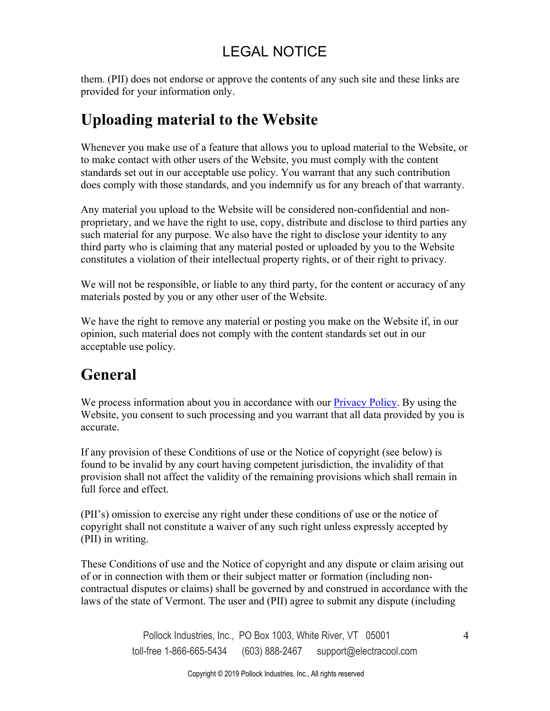them. (PII) does not endorse or approve the contents of any such site and these links are provided for your information only.

# **Uploading material to the Website**

Whenever you make use of a feature that allows you to upload material to the Website, or to make contact with other users of the Website, you must comply with the content standards set out in our acceptable use policy. You warrant that any such contribution does comply with those standards, and you indemnify us for any breach of that warranty.

Any material you upload to the Website will be considered non-confidential and nonproprietary, and we have the right to use, copy, distribute and disclose to third parties any such material for any purpose. We also have the right to disclose your identity to any third party who is claiming that any material posted or uploaded by you to the Website constitutes a violation of their intellectual property rights, or of their right to privacy.

We will not be responsible, or liable to any third party, for the content or accuracy of any materials posted by you or any other user of the Website.

We have the right to remove any material or posting you make on the Website if, in our opinion, such material does not comply with the content standards set out in our acceptable use policy.

### **General**

We process information about you in accordance with o[ur Privacy Policy. B](https://www.electracool.com/privacy.html)y using the Website, you consent to such processing and you warrant that all data provided by you is accurate.

If any provision of these Conditions of use or the Notice of copyright (see below) is found to be invalid by any court having competent jurisdiction, the invalidity of that provision shall not affect the validity of the remaining provisions which shall remain in full force and effect.

(PII's) omission to exercise any right under these conditions of use or the notice of copyright shall not constitute a waiver of any such right unless expressly accepted by (PII) in writing.

These Conditions of use and the Notice of copyright and any dispute or claim arising out of or in connection with them or their subject matter or formation (including noncontractual disputes or claims) shall be governed by and construed in accordance with the laws of the state of Vermont. The user and (PII) agree to submit any dispute (including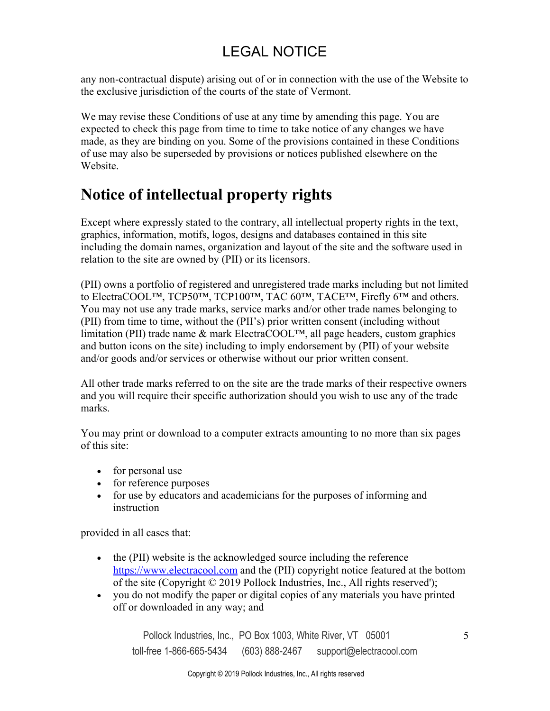any non-contractual dispute) arising out of or in connection with the use of the Website to the exclusive jurisdiction of the courts of the state of Vermont.

We may revise these Conditions of use at any time by amending this page. You are expected to check this page from time to time to take notice of any changes we have made, as they are binding on you. Some of the provisions contained in these Conditions of use may also be superseded by provisions or notices published elsewhere on the Website.

### **Notice of intellectual property rights**

Except where expressly stated to the contrary, all intellectual property rights in the text, graphics, information, motifs, logos, designs and databases contained in this site including the domain names, organization and layout of the site and the software used in relation to the site are owned by (PII) or its licensors.

(PII) owns a portfolio of registered and unregistered trade marks including but not limited to ElectraCOOL™, TCP50™, TCP100™, TAC 60™, TACE™, Firefly 6™ and others. You may not use any trade marks, service marks and/or other trade names belonging to (PII) from time to time, without the (PII's) prior written consent (including without limitation (PII) trade name & mark ElectraCOOL™, all page headers, custom graphics and button icons on the site) including to imply endorsement by (PII) of your website and/or goods and/or services or otherwise without our prior written consent.

All other trade marks referred to on the site are the trade marks of their respective owners and you will require their specific authorization should you wish to use any of the trade marks.

You may print or download to a computer extracts amounting to no more than six pages of this site:

- for personal use
- for reference purposes
- for use by educators and academicians for the purposes of informing and instruction

provided in all cases that:

- the (PII) website is the acknowledged source including the reference [https://www.electracool.com and](https://www.electracool.com) the (PII) copyright notice featured at the bottom of the site (Copyright © 2019 Pollock Industries, Inc., All rights reserved');
- you do not modify the paper or digital copies of any materials you have printed off or downloaded in any way; and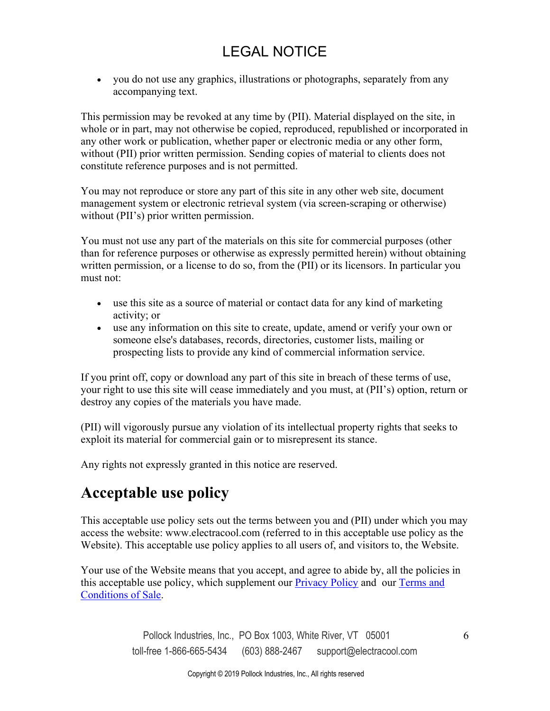you do not use any graphics, illustrations or photographs, separately from any accompanying text.

This permission may be revoked at any time by (PII). Material displayed on the site, in whole or in part, may not otherwise be copied, reproduced, republished or incorporated in any other work or publication, whether paper or electronic media or any other form, without (PII) prior written permission. Sending copies of material to clients does not constitute reference purposes and is not permitted.

You may not reproduce or store any part of this site in any other web site, document management system or electronic retrieval system (via screen-scraping or otherwise) without (PII's) prior written permission.

You must not use any part of the materials on this site for commercial purposes (other than for reference purposes or otherwise as expressly permitted herein) without obtaining written permission, or a license to do so, from the (PII) or its licensors. In particular you must not:

- use this site as a source of material or contact data for any kind of marketing activity; or
- use any information on this site to create, update, amend or verify your own or someone else's databases, records, directories, customer lists, mailing or prospecting lists to provide any kind of commercial information service.

If you print off, copy or download any part of this site in breach of these terms of use, your right to use this site will cease immediately and you must, at (PII's) option, return or destroy any copies of the materials you have made.

(PII) will vigorously pursue any violation of its intellectual property rights that seeks to exploit its material for commercial gain or to misrepresent its stance.

Any rights not expressly granted in this notice are reserved.

#### **Acceptable use policy**

This acceptable use policy sets out the terms between you and (PII) under which you may access the website: www.electracool.com (referred to in this acceptable use policy as the Website). This acceptable use policy applies to all users of, and visitors to, the Website.

Your use of the Website means that you accept, and agree to abide by, all the policies in this acceptable use policy, which supplement ou[r Privacy Policy an](https://www.electracool.com/privacy.html)d our [Terms and](https://www.electracool.com/terms.html)  [Conditions of Sale.](https://www.electracool.com/terms.html)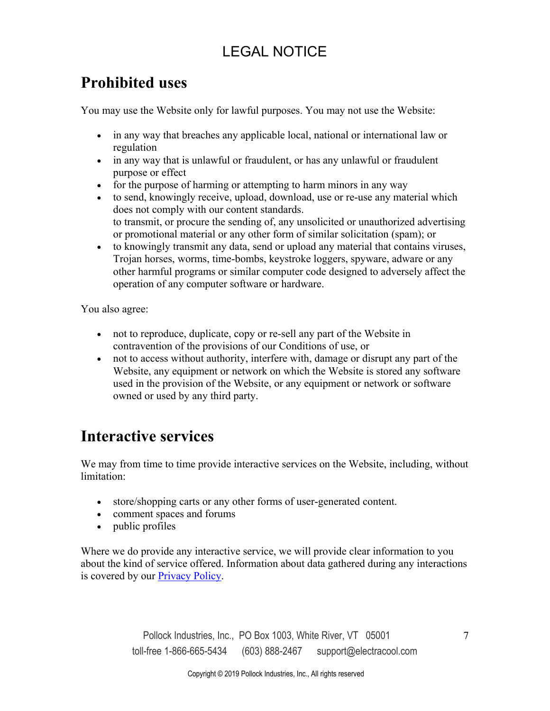#### **Prohibited uses**

You may use the Website only for lawful purposes. You may not use the Website:

- in any way that breaches any applicable local, national or international law or regulation
- in any way that is unlawful or fraudulent, or has any unlawful or fraudulent purpose or effect
- for the purpose of harming or attempting to harm minors in any way
- to send, knowingly receive, upload, download, use or re-use any material which does not comply with our content standards. to transmit, or procure the sending of, any unsolicited or unauthorized advertising or promotional material or any other form of similar solicitation (spam); or
- to knowingly transmit any data, send or upload any material that contains viruses, Trojan horses, worms, time-bombs, keystroke loggers, spyware, adware or any other harmful programs or similar computer code designed to adversely affect the operation of any computer software or hardware.

You also agree:

- not to reproduce, duplicate, copy or re-sell any part of the Website in contravention of the provisions of our Conditions of use, or
- not to access without authority, interfere with, damage or disrupt any part of the Website, any equipment or network on which the Website is stored any software used in the provision of the Website, or any equipment or network or software owned or used by any third party.

#### **Interactive services**

We may from time to time provide interactive services on the Website, including, without limitation:

- store/shopping carts or any other forms of user-generated content.
- comment spaces and forums
- public profiles

Where we do provide any interactive service, we will provide clear information to you about the kind of service offered. Information about data gathered during any interactions is covered by ou[r Privacy Policy.](https://www.electracool.com/privacy.html)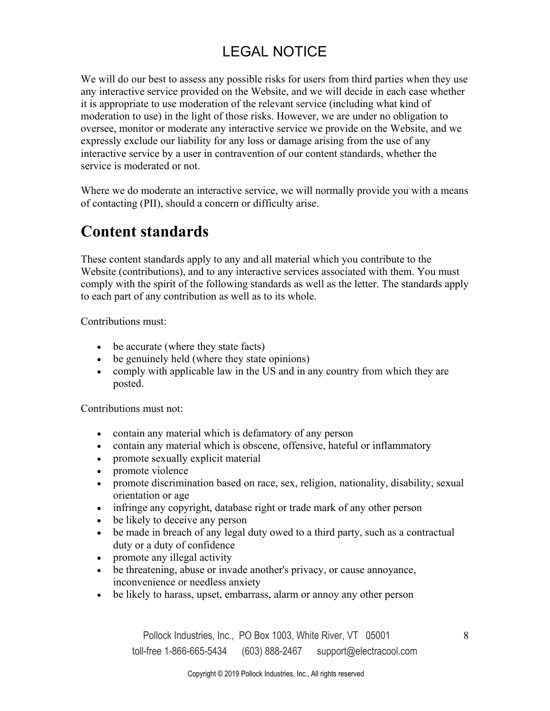We will do our best to assess any possible risks for users from third parties when they use any interactive service provided on the Website, and we will decide in each case whether it is appropriate to use moderation of the relevant service (including what kind of moderation to use) in the light of those risks. However, we are under no obligation to oversee, monitor or moderate any interactive service we provide on the Website, and we expressly exclude our liability for any loss or damage arising from the use of any interactive service by a user in contravention of our content standards, whether the service is moderated or not.

Where we do moderate an interactive service, we will normally provide you with a means of contacting (PII), should a concern or difficulty arise.

### **Content standards**

These content standards apply to any and all material which you contribute to the Website (contributions), and to any interactive services associated with them. You must comply with the spirit of the following standards as well as the letter. The standards apply to each part of any contribution as well as to its whole.

Contributions must:

- be accurate (where they state facts)
- be genuinely held (where they state opinions)
- comply with applicable law in the US and in any country from which they are posted.

Contributions must not:

- contain any material which is defamatory of any person
- contain any material which is obscene, offensive, hateful or inflammatory
- promote sexually explicit material
- promote violence
- promote discrimination based on race, sex, religion, nationality, disability, sexual orientation or age
- infringe any copyright, database right or trade mark of any other person
- be likely to deceive any person
- be made in breach of any legal duty owed to a third party, such as a contractual duty or a duty of confidence
- promote any illegal activity
- be threatening, abuse or invade another's privacy, or cause annoyance, inconvenience or needless anxiety
- be likely to harass, upset, embarrass, alarm or annoy any other person